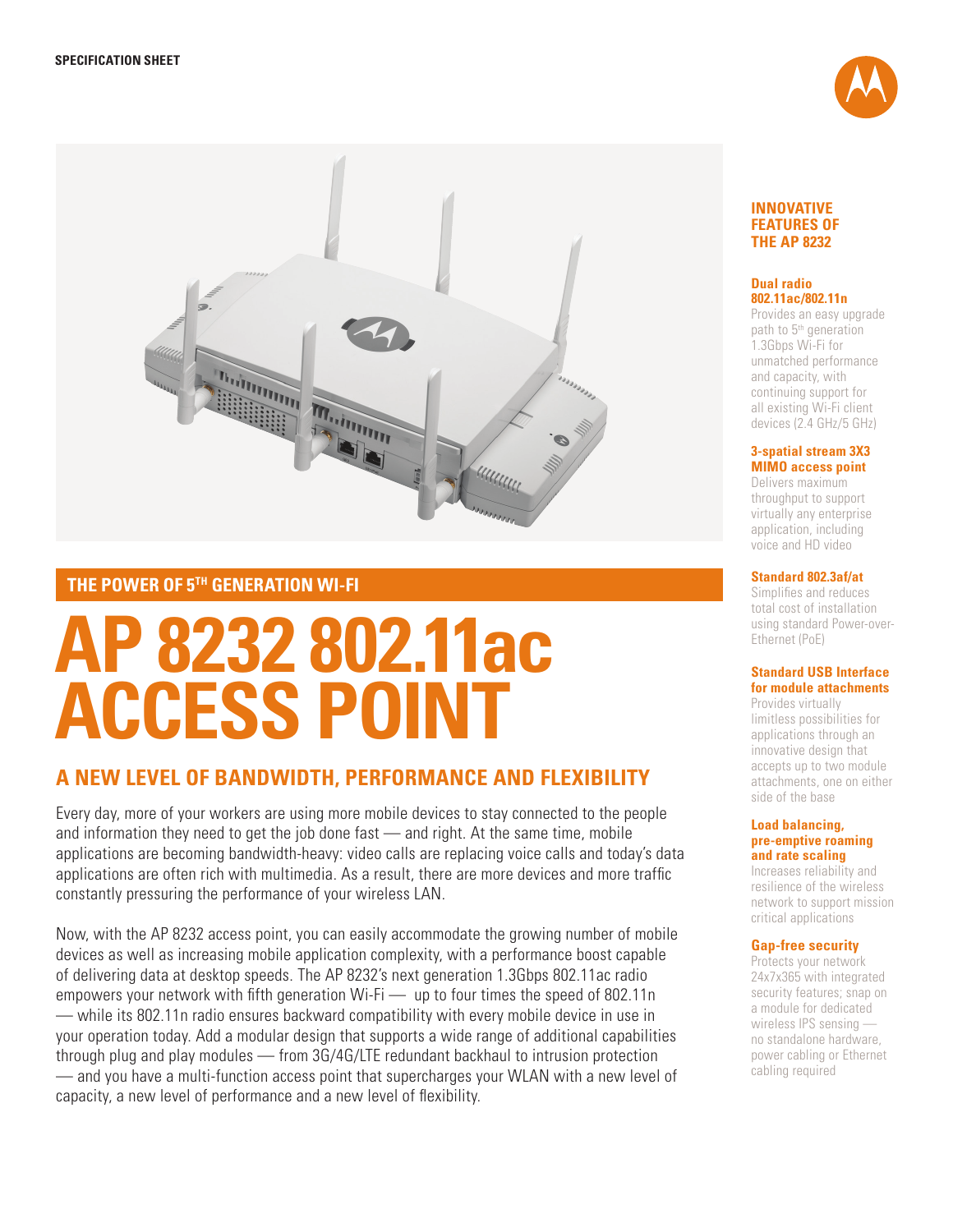



# **THE POWER OF 5TH GENERATION WI-FI**

# **AP 8232 802.11ac ACCESS POINT**

# **A NEW LEVEL OF BANDWIDTH, PERFORMANCE AND FLEXIBILITY**

Every day, more of your workers are using more mobile devices to stay connected to the people and information they need to get the job done fast — and right. At the same time, mobile applications are becoming bandwidth-heavy: video calls are replacing voice calls and today's data applications are often rich with multimedia. As a result, there are more devices and more traffic constantly pressuring the performance of your wireless LAN.

Now, with the AP 8232 access point, you can easily accommodate the growing number of mobile devices as well as increasing mobile application complexity, with a performance boost capable of delivering data at desktop speeds. The AP 8232's next generation 1.3Gbps 802.11ac radio empowers your network with fifth generation Wi-Fi — up to four times the speed of 802.11n — while its 802.11n radio ensures backward compatibility with every mobile device in use in your operation today. Add a modular design that supports a wide range of additional capabilities through plug and play modules — from 3G/4G/LTE redundant backhaul to intrusion protection — and you have a multi-function access point that supercharges your WLAN with a new level of capacity, a new level of performance and a new level of flexibility.

#### **INNOVATIVE FEATURES OF THE AP 8232**

#### **Dual radio 802.11ac/802.11n**

Provides an easy upgrade path to 5<sup>th</sup> generation 1.3Gbps Wi-Fi for unmatched performance and capacity, with continuing support for all existing Wi-Fi client devices (2.4 GHz/5 GHz)

#### **3-spatial stream 3X3 MIMO access point**

Delivers maximum throughput to support virtually any enterprise application, including voice and HD video

#### **Standard 802.3af/at**

Simplifies and reduces total cost of installation using standard Power-over-Ethernet (PoE)

### **Standard USB Interface for module attachments**

Provides virtually limitless possibilities for applications through an innovative design that accepts up to two module attachments, one on either side of the base

#### **Load balancing, pre-emptive roaming and rate scaling**

Increases reliability and resilience of the wireless network to support mission critical applications

### **Gap-free security**

Protects your network 24x7x365 with integrated security features; snap on a module for dedicated wireless IPS sensing no standalone hardware, power cabling or Ethernet cabling required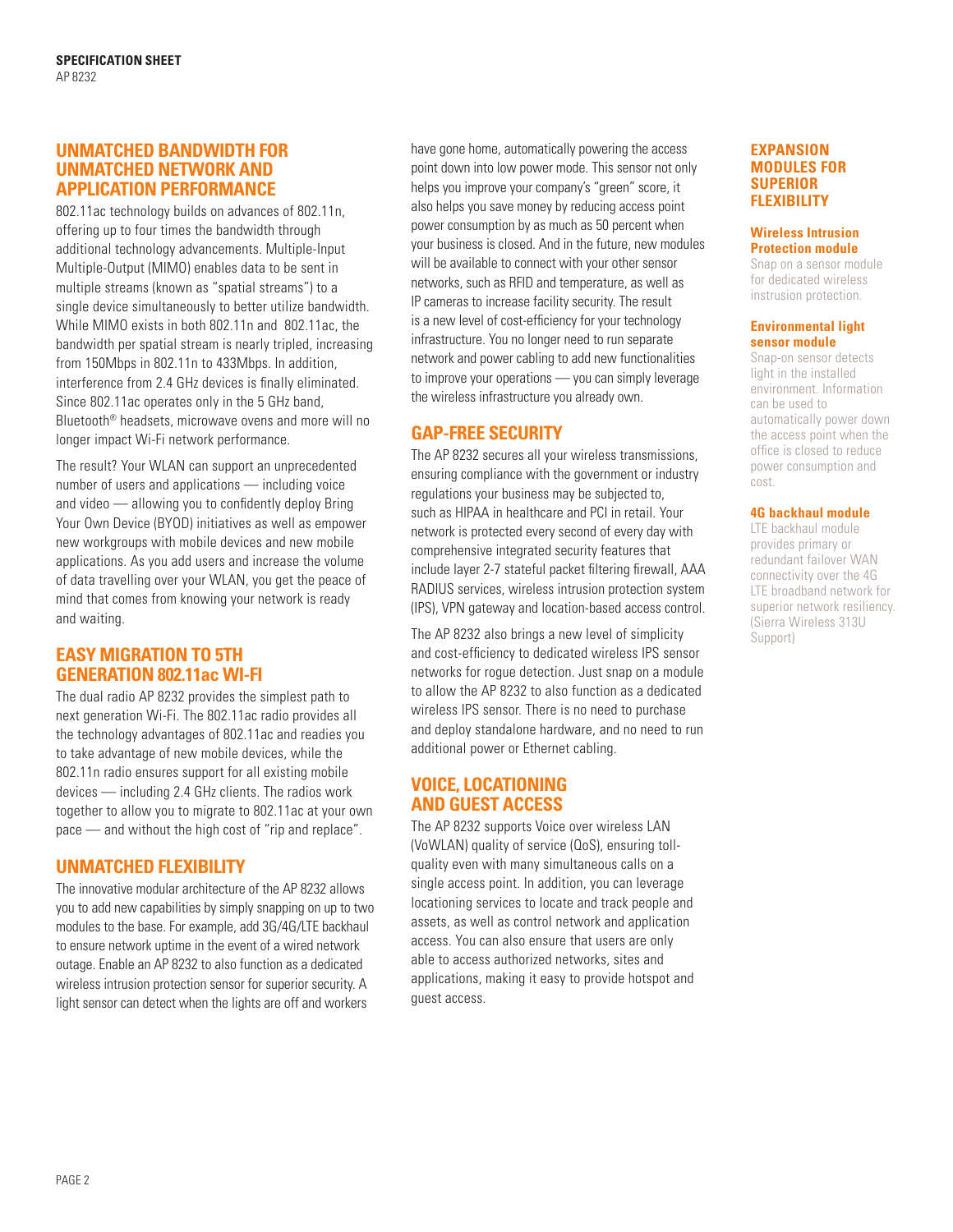# **UNMATCHED BANDWIDTH FOR UNMATCHED NETWORK AND APPLICATION PERFORMANCE**

802.11ac technology builds on advances of 802.11n, offering up to four times the bandwidth through additional technology advancements. Multiple-Input Multiple-Output (MIMO) enables data to be sent in multiple streams (known as "spatial streams") to a single device simultaneously to better utilize bandwidth. While MIMO exists in both 802.11n and 802.11ac, the bandwidth per spatial stream is nearly tripled, increasing from 150Mbps in 802.11n to 433Mbps. In addition, interference from 2.4 GHz devices is finally eliminated. Since 802.11ac operates only in the 5 GHz band, Bluetooth® headsets, microwave ovens and more will no longer impact Wi-Fi network performance.

The result? Your WLAN can support an unprecedented number of users and applications — including voice and video — allowing you to confidently deploy Bring Your Own Device (BYOD) initiatives as well as empower new workgroups with mobile devices and new mobile applications. As you add users and increase the volume of data travelling over your WLAN, you get the peace of mind that comes from knowing your network is ready and waiting.

# **EASY MIGRATION TO 5TH GENERATION 802.11ac WI-FI**

The dual radio AP 8232 provides the simplest path to next generation Wi-Fi. The 802.11ac radio provides all the technology advantages of 802.11ac and readies you to take advantage of new mobile devices, while the 802.11n radio ensures support for all existing mobile devices — including 2.4 GHz clients. The radios work together to allow you to migrate to 802.11ac at your own pace — and without the high cost of "rip and replace".

# **UNMATCHED FLEXIBILITY**

The innovative modular architecture of the AP 8232 allows you to add new capabilities by simply snapping on up to two modules to the base. For example, add 3G/4G/LTE backhaul to ensure network uptime in the event of a wired network outage. Enable an AP 8232 to also function as a dedicated wireless intrusion protection sensor for superior security. A light sensor can detect when the lights are off and workers

have gone home, automatically powering the access point down into low power mode. This sensor not only helps you improve your company's "green" score, it also helps you save money by reducing access point power consumption by as much as 50 percent when your business is closed. And in the future, new modules will be available to connect with your other sensor networks, such as RFID and temperature, as well as IP cameras to increase facility security. The result is a new level of cost-efficiency for your technology infrastructure. You no longer need to run separate network and power cabling to add new functionalities to improve your operations — you can simply leverage the wireless infrastructure you already own.

# **GAP-FREE SECURITY**

The AP 8232 secures all your wireless transmissions, ensuring compliance with the government or industry regulations your business may be subjected to, such as HIPAA in healthcare and PCI in retail. Your network is protected every second of every day with comprehensive integrated security features that include layer 2-7 stateful packet filtering firewall, AAA RADIUS services, wireless intrusion protection system (IPS), VPN gateway and location-based access control.

The AP 8232 also brings a new level of simplicity and cost-efficiency to dedicated wireless IPS sensor networks for rogue detection. Just snap on a module to allow the AP 8232 to also function as a dedicated wireless IPS sensor. There is no need to purchase and deploy standalone hardware, and no need to run additional power or Ethernet cabling.

# **VOICE, LOCATIONING AND GUEST ACCESS**

The AP 8232 supports Voice over wireless LAN (VoWLAN) quality of service (QoS), ensuring tollquality even with many simultaneous calls on a single access point. In addition, you can leverage locationing services to locate and track people and assets, as well as control network and application access. You can also ensure that users are only able to access authorized networks, sites and applications, making it easy to provide hotspot and guest access.

#### **EXPANSION MODULES FOR SUPERIOR FLEXIBILITY**

#### **Wireless Intrusion Protection module**

Snap on a sensor module for dedicated wireless instrusion protection.

#### **Environmental light sensor module**

Snap-on sensor detects light in the installed environment. Information can be used to automatically power down the access point when the office is closed to reduce power consumption and cost.

### **4G backhaul module**

LTE backhaul module provides primary or redundant failover WAN connectivity over the 4G LTE broadband network for superior network resiliency. (Sierra Wireless 313U Support)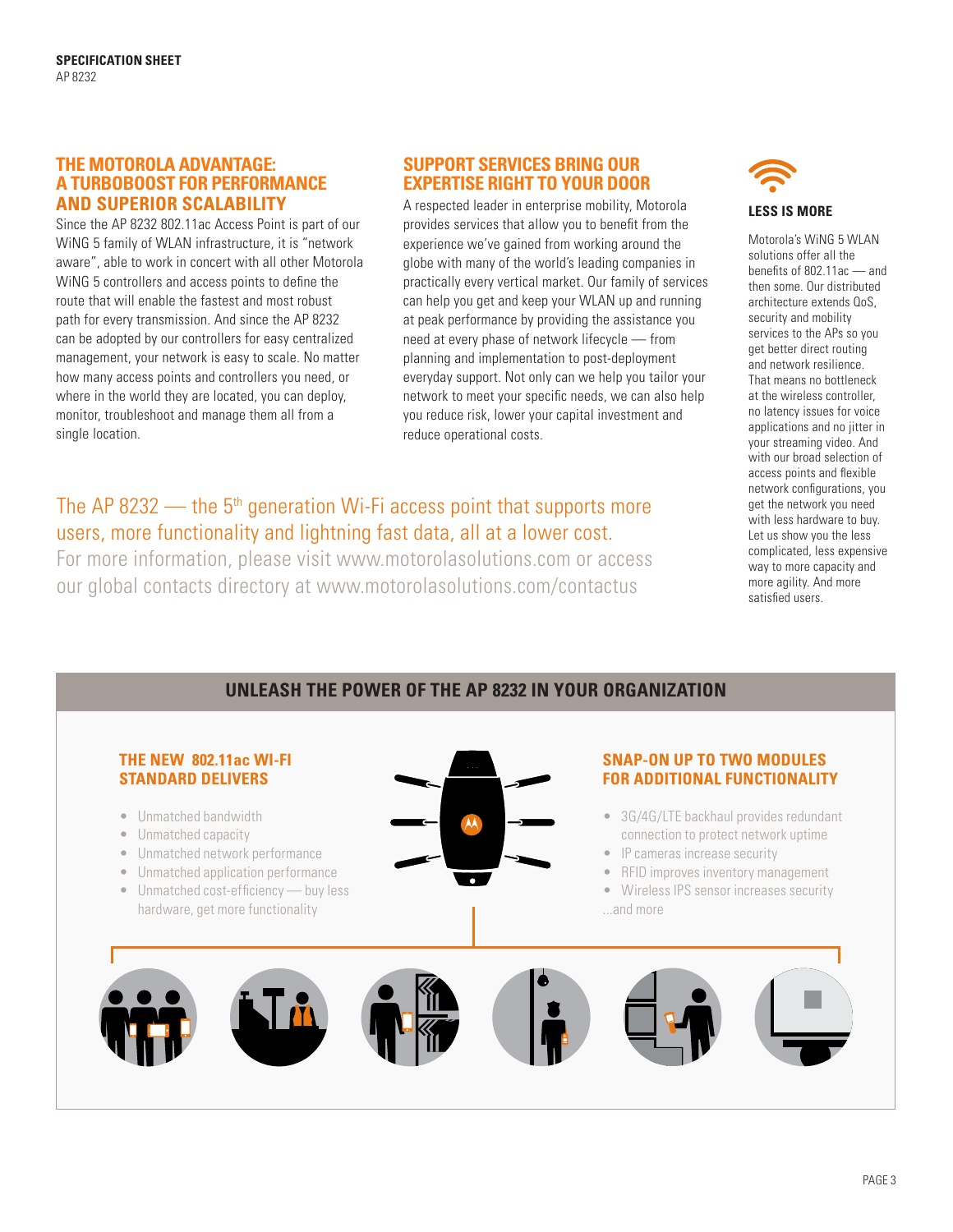## **THE MOTOROLA ADVANTAGE: A TURBOBOOST FOR PERFORMANCE AND SUPERIOR SCALABILITY**

Since the AP 8232 802.11ac Access Point is part of our WiNG 5 family of WLAN infrastructure, it is "network aware", able to work in concert with all other Motorola WiNG 5 controllers and access points to define the route that will enable the fastest and most robust path for every transmission. And since the AP 8232 can be adopted by our controllers for easy centralized management, your network is easy to scale. No matter how many access points and controllers you need, or where in the world they are located, you can deploy, monitor, troubleshoot and manage them all from a single location.

# **SUPPORT SERVICES BRING OUR EXPERTISE RIGHT TO YOUR DOOR**

A respected leader in enterprise mobility, Motorola provides services that allow you to benefit from the experience we've gained from working around the globe with many of the world's leading companies in practically every vertical market. Our family of services can help you get and keep your WLAN up and running at peak performance by providing the assistance you need at every phase of network lifecycle — from planning and implementation to post-deployment everyday support. Not only can we help you tailor your network to meet your specific needs, we can also help you reduce risk, lower your capital investment and reduce operational costs.

# The AP 8232  $-$  the 5<sup>th</sup> generation Wi-Fi access point that supports more users, more functionality and lightning fast data, all at a lower cost.

For more information, please visit www.motorolasolutions.com or access our global contacts directory at www.motorolasolutions.com/contactus



Motorola's WiNG 5 WLAN solutions offer all the benefits of 802.11ac — and then some. Our distributed architecture extends QoS, security and mobility services to the APs so you get better direct routing and network resilience. That means no bottleneck at the wireless controller, no latency issues for voice applications and no jitter in your streaming video. And with our broad selection of access points and flexible network configurations, you get the network you need with less hardware to buy. Let us show you the less complicated, less expensive way to more capacity and more agility. And more satisfied users.